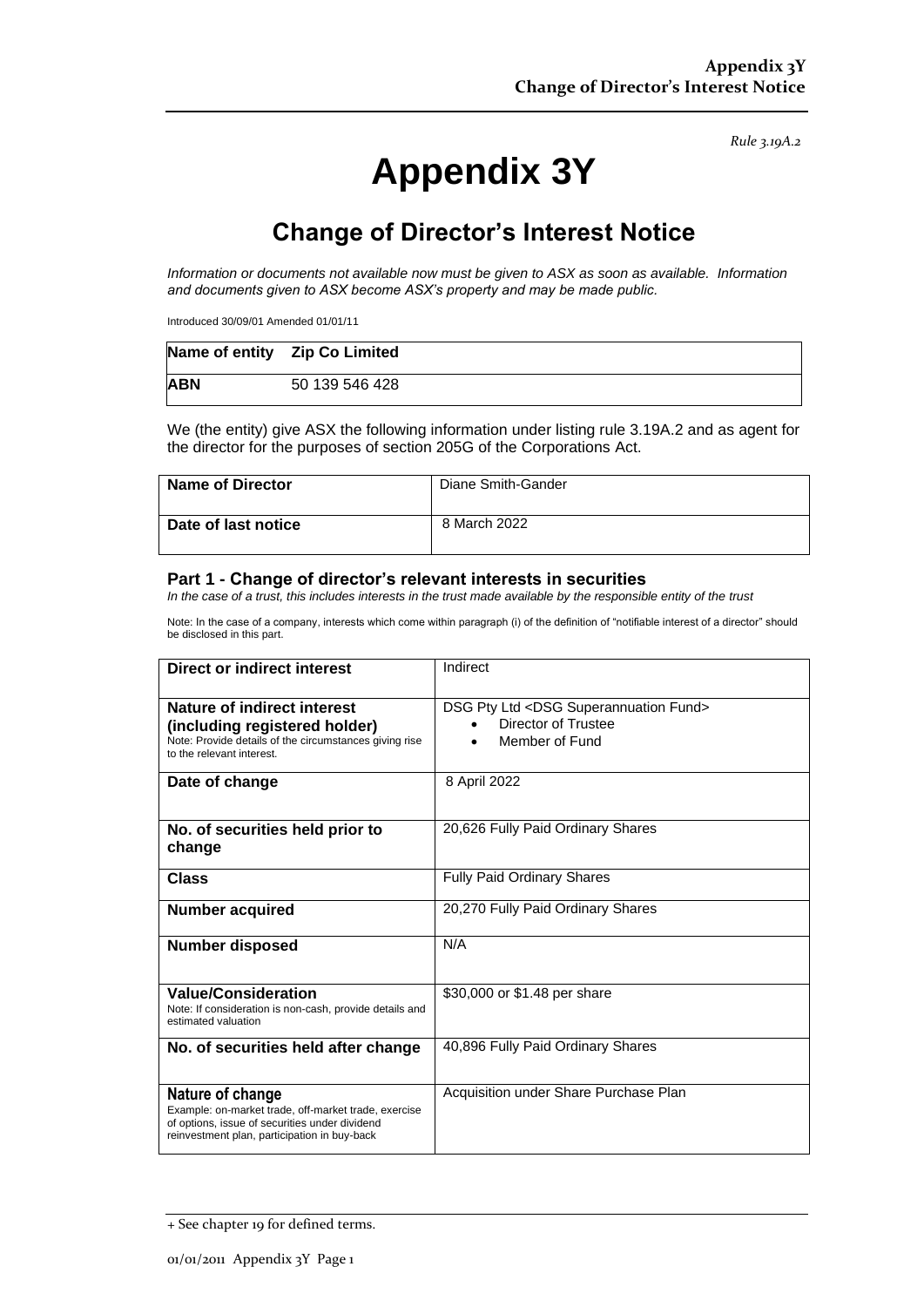*Rule 3.19A.2*

# **Appendix 3Y**

## **Change of Director's Interest Notice**

*Information or documents not available now must be given to ASX as soon as available. Information and documents given to ASX become ASX's property and may be made public.*

Introduced 30/09/01 Amended 01/01/11

|            | Name of entity    Zip Co Limited |
|------------|----------------------------------|
| <b>ABN</b> | 50 139 546 428                   |

We (the entity) give ASX the following information under listing rule 3.19A.2 and as agent for the director for the purposes of section 205G of the Corporations Act.

| <b>Name of Director</b> | Diane Smith-Gander |
|-------------------------|--------------------|
| Date of last notice     | 8 March 2022       |

#### **Part 1 - Change of director's relevant interests in securities**

*In the case of a trust, this includes interests in the trust made available by the responsible entity of the trust*

Note: In the case of a company, interests which come within paragraph (i) of the definition of "notifiable interest of a director" should be disclosed in this part.

| Direct or indirect interest                                                                                                                                                | Indirect                                                                                     |  |
|----------------------------------------------------------------------------------------------------------------------------------------------------------------------------|----------------------------------------------------------------------------------------------|--|
| Nature of indirect interest<br>(including registered holder)<br>Note: Provide details of the circumstances giving rise<br>to the relevant interest.                        | DSG Pty Ltd <dsg fund="" superannuation=""><br/>Director of Trustee<br/>Member of Fund</dsg> |  |
| Date of change                                                                                                                                                             | 8 April 2022                                                                                 |  |
| No. of securities held prior to<br>change                                                                                                                                  | 20,626 Fully Paid Ordinary Shares                                                            |  |
| <b>Class</b>                                                                                                                                                               | <b>Fully Paid Ordinary Shares</b>                                                            |  |
| <b>Number acquired</b>                                                                                                                                                     | 20,270 Fully Paid Ordinary Shares                                                            |  |
| <b>Number disposed</b>                                                                                                                                                     | N/A                                                                                          |  |
| <b>Value/Consideration</b><br>Note: If consideration is non-cash, provide details and<br>estimated valuation                                                               | \$30,000 or \$1.48 per share                                                                 |  |
| No. of securities held after change                                                                                                                                        | 40,896 Fully Paid Ordinary Shares                                                            |  |
| Nature of change<br>Example: on-market trade, off-market trade, exercise<br>of options, issue of securities under dividend<br>reinvestment plan, participation in buy-back | Acquisition under Share Purchase Plan                                                        |  |

<sup>+</sup> See chapter 19 for defined terms.